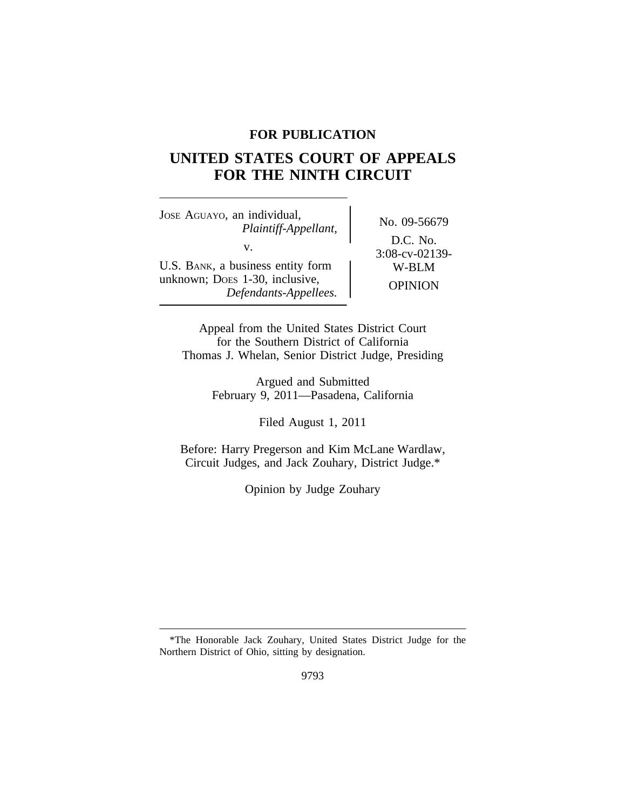# **FOR PUBLICATION**

# **UNITED STATES COURT OF APPEALS FOR THE NINTH CIRCUIT**

<sup>J</sup>OSE AGUAYO, an individual, No. 09-56679 *Plaintiff-Appellant,* v.  $3:08\text{-}cv-02139\text{-}$ <br>siness entity form  $3:08\text{-}cv-02139\text{-}$ <br>W-BLM U.S. BANK, a business entity form unknown; Does 1-30, inclusive,<br> *Defendants-Appellees.* OPINION

D.C. No.

Appeal from the United States District Court for the Southern District of California Thomas J. Whelan, Senior District Judge, Presiding

> Argued and Submitted February 9, 2011—Pasadena, California

> > Filed August 1, 2011

Before: Harry Pregerson and Kim McLane Wardlaw, Circuit Judges, and Jack Zouhary, District Judge.\*

Opinion by Judge Zouhary

<sup>\*</sup>The Honorable Jack Zouhary, United States District Judge for the Northern District of Ohio, sitting by designation.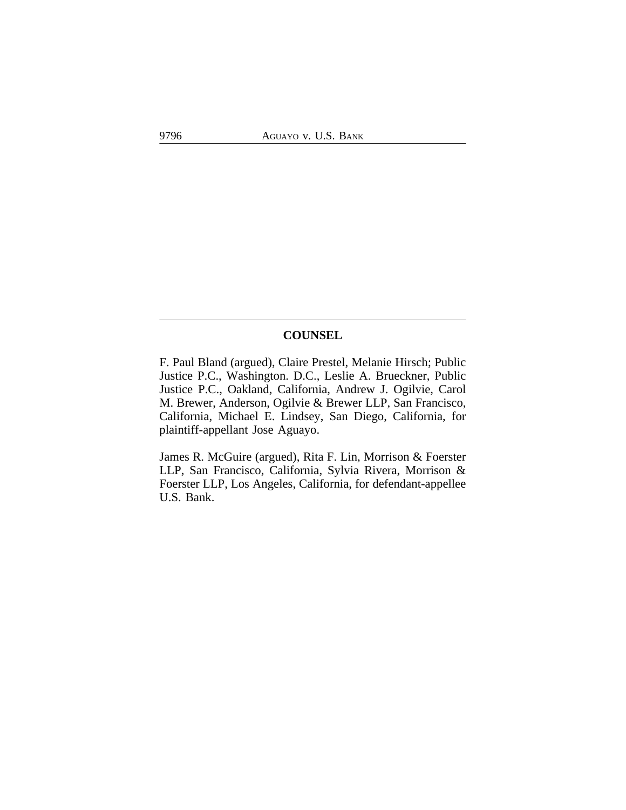# **COUNSEL**

F. Paul Bland (argued), Claire Prestel, Melanie Hirsch; Public Justice P.C., Washington. D.C., Leslie A. Brueckner, Public Justice P.C., Oakland, California, Andrew J. Ogilvie, Carol M. Brewer, Anderson, Ogilvie & Brewer LLP, San Francisco, California, Michael E. Lindsey, San Diego, California, for plaintiff-appellant Jose Aguayo.

James R. McGuire (argued), Rita F. Lin, Morrison & Foerster LLP, San Francisco, California, Sylvia Rivera, Morrison & Foerster LLP, Los Angeles, California, for defendant-appellee U.S. Bank.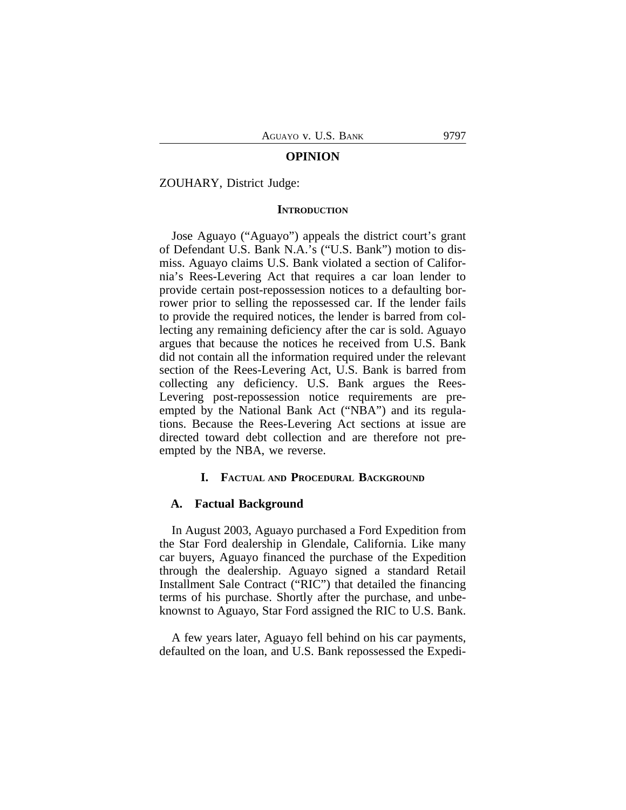#### **OPINION**

#### ZOUHARY, District Judge:

### **INTRODUCTION**

Jose Aguayo ("Aguayo") appeals the district court's grant of Defendant U.S. Bank N.A.'s ("U.S. Bank") motion to dismiss. Aguayo claims U.S. Bank violated a section of California's Rees-Levering Act that requires a car loan lender to provide certain post-repossession notices to a defaulting borrower prior to selling the repossessed car. If the lender fails to provide the required notices, the lender is barred from collecting any remaining deficiency after the car is sold. Aguayo argues that because the notices he received from U.S. Bank did not contain all the information required under the relevant section of the Rees-Levering Act, U.S. Bank is barred from collecting any deficiency. U.S. Bank argues the Rees-Levering post-repossession notice requirements are preempted by the National Bank Act ("NBA") and its regulations. Because the Rees-Levering Act sections at issue are directed toward debt collection and are therefore not preempted by the NBA, we reverse.

#### **I. FACTUAL AND PROCEDURAL BACKGROUND**

#### **A. Factual Background**

In August 2003, Aguayo purchased a Ford Expedition from the Star Ford dealership in Glendale, California. Like many car buyers, Aguayo financed the purchase of the Expedition through the dealership. Aguayo signed a standard Retail Installment Sale Contract ("RIC") that detailed the financing terms of his purchase. Shortly after the purchase, and unbeknownst to Aguayo, Star Ford assigned the RIC to U.S. Bank.

A few years later, Aguayo fell behind on his car payments, defaulted on the loan, and U.S. Bank repossessed the Expedi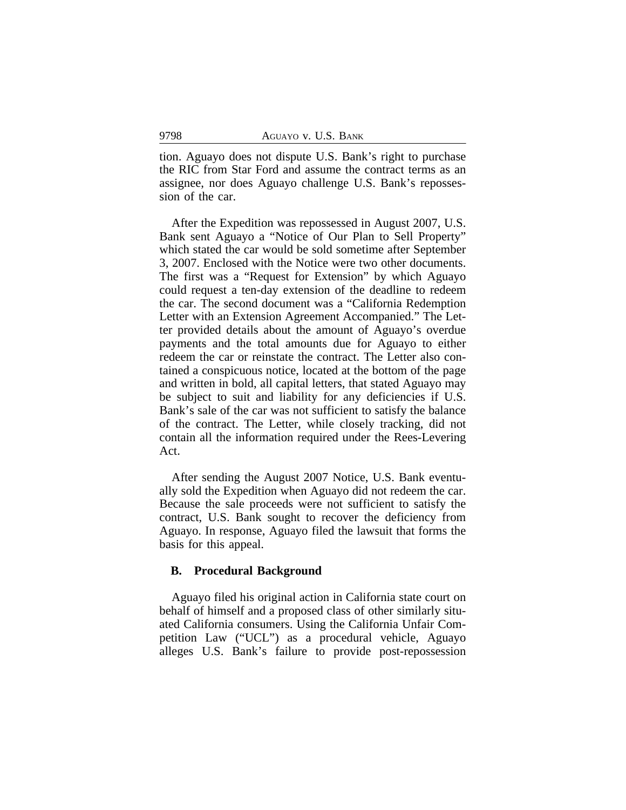tion. Aguayo does not dispute U.S. Bank's right to purchase the RIC from Star Ford and assume the contract terms as an assignee, nor does Aguayo challenge U.S. Bank's repossession of the car.

After the Expedition was repossessed in August 2007, U.S. Bank sent Aguayo a "Notice of Our Plan to Sell Property" which stated the car would be sold sometime after September 3, 2007. Enclosed with the Notice were two other documents. The first was a "Request for Extension" by which Aguayo could request a ten-day extension of the deadline to redeem the car. The second document was a "California Redemption Letter with an Extension Agreement Accompanied." The Letter provided details about the amount of Aguayo's overdue payments and the total amounts due for Aguayo to either redeem the car or reinstate the contract. The Letter also contained a conspicuous notice, located at the bottom of the page and written in bold, all capital letters, that stated Aguayo may be subject to suit and liability for any deficiencies if U.S. Bank's sale of the car was not sufficient to satisfy the balance of the contract. The Letter, while closely tracking, did not contain all the information required under the Rees-Levering Act.

After sending the August 2007 Notice, U.S. Bank eventually sold the Expedition when Aguayo did not redeem the car. Because the sale proceeds were not sufficient to satisfy the contract, U.S. Bank sought to recover the deficiency from Aguayo. In response, Aguayo filed the lawsuit that forms the basis for this appeal.

# **B. Procedural Background**

Aguayo filed his original action in California state court on behalf of himself and a proposed class of other similarly situated California consumers. Using the California Unfair Competition Law ("UCL") as a procedural vehicle, Aguayo alleges U.S. Bank's failure to provide post-repossession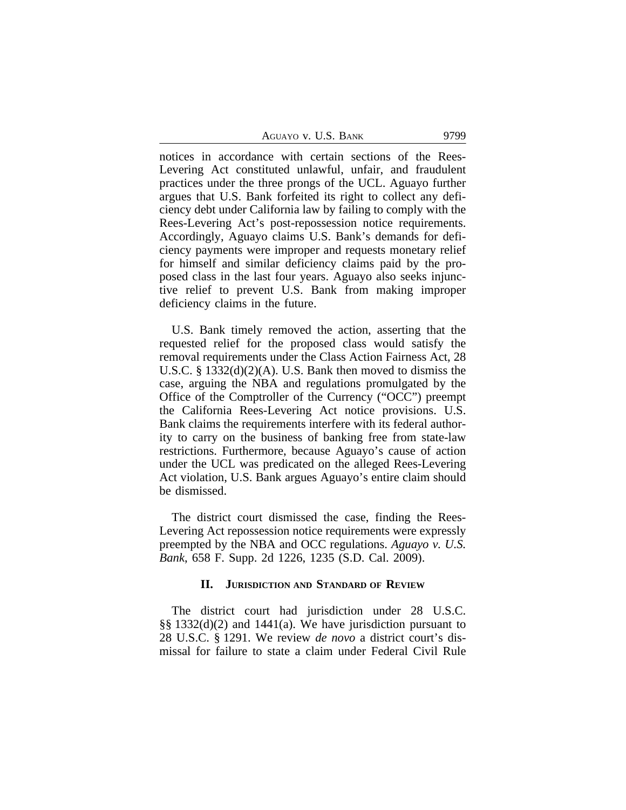AGUAYO V. U.S. BANK 9799

notices in accordance with certain sections of the Rees-Levering Act constituted unlawful, unfair, and fraudulent practices under the three prongs of the UCL. Aguayo further argues that U.S. Bank forfeited its right to collect any deficiency debt under California law by failing to comply with the Rees-Levering Act's post-repossession notice requirements. Accordingly, Aguayo claims U.S. Bank's demands for deficiency payments were improper and requests monetary relief for himself and similar deficiency claims paid by the proposed class in the last four years. Aguayo also seeks injunctive relief to prevent U.S. Bank from making improper deficiency claims in the future.

U.S. Bank timely removed the action, asserting that the requested relief for the proposed class would satisfy the removal requirements under the Class Action Fairness Act, 28 U.S.C. § 1332(d)(2)(A). U.S. Bank then moved to dismiss the case, arguing the NBA and regulations promulgated by the Office of the Comptroller of the Currency ("OCC") preempt the California Rees-Levering Act notice provisions. U.S. Bank claims the requirements interfere with its federal authority to carry on the business of banking free from state-law restrictions. Furthermore, because Aguayo's cause of action under the UCL was predicated on the alleged Rees-Levering Act violation, U.S. Bank argues Aguayo's entire claim should be dismissed.

The district court dismissed the case, finding the Rees-Levering Act repossession notice requirements were expressly preempted by the NBA and OCC regulations. *Aguayo v. U.S. Bank*, 658 F. Supp. 2d 1226, 1235 (S.D. Cal. 2009).

# **II. JURISDICTION AND STANDARD OF REVIEW**

The district court had jurisdiction under 28 U.S.C. §§ 1332(d)(2) and 1441(a). We have jurisdiction pursuant to 28 U.S.C. § 1291. We review *de novo* a district court's dismissal for failure to state a claim under Federal Civil Rule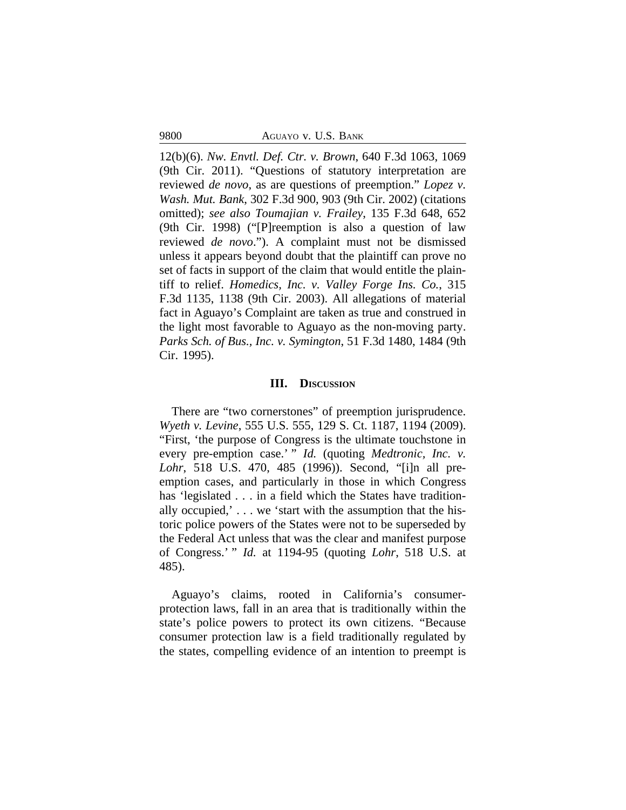9800 AGUAYO v. U.S. BANK

12(b)(6). *Nw. Envtl. Def. Ctr. v. Brown*, 640 F.3d 1063, 1069 (9th Cir. 2011). "Questions of statutory interpretation are reviewed *de novo*, as are questions of preemption." *Lopez v. Wash. Mut. Bank*, 302 F.3d 900, 903 (9th Cir. 2002) (citations omitted); *see also Toumajian v. Frailey*, 135 F.3d 648, 652 (9th Cir. 1998) ("[P]reemption is also a question of law reviewed *de novo*."). A complaint must not be dismissed unless it appears beyond doubt that the plaintiff can prove no set of facts in support of the claim that would entitle the plaintiff to relief. *Homedics, Inc. v. Valley Forge Ins. Co.*, 315 F.3d 1135, 1138 (9th Cir. 2003). All allegations of material fact in Aguayo's Complaint are taken as true and construed in the light most favorable to Aguayo as the non-moving party. *Parks Sch. of Bus., Inc. v. Symington*, 51 F.3d 1480, 1484 (9th Cir. 1995).

#### **III. DISCUSSION**

There are "two cornerstones" of preemption jurisprudence. *Wyeth v. Levine*, 555 U.S. 555, 129 S. Ct. 1187, 1194 (2009). "First, 'the purpose of Congress is the ultimate touchstone in every pre-emption case.' " *Id.* (quoting *Medtronic, Inc. v. Lohr*, 518 U.S. 470, 485 (1996)). Second, "[i]n all preemption cases, and particularly in those in which Congress has 'legislated . . . in a field which the States have traditionally occupied,'... we 'start with the assumption that the historic police powers of the States were not to be superseded by the Federal Act unless that was the clear and manifest purpose of Congress.' " *Id.* at 1194-95 (quoting *Lohr*, 518 U.S. at 485).

Aguayo's claims, rooted in California's consumerprotection laws, fall in an area that is traditionally within the state's police powers to protect its own citizens. "Because consumer protection law is a field traditionally regulated by the states, compelling evidence of an intention to preempt is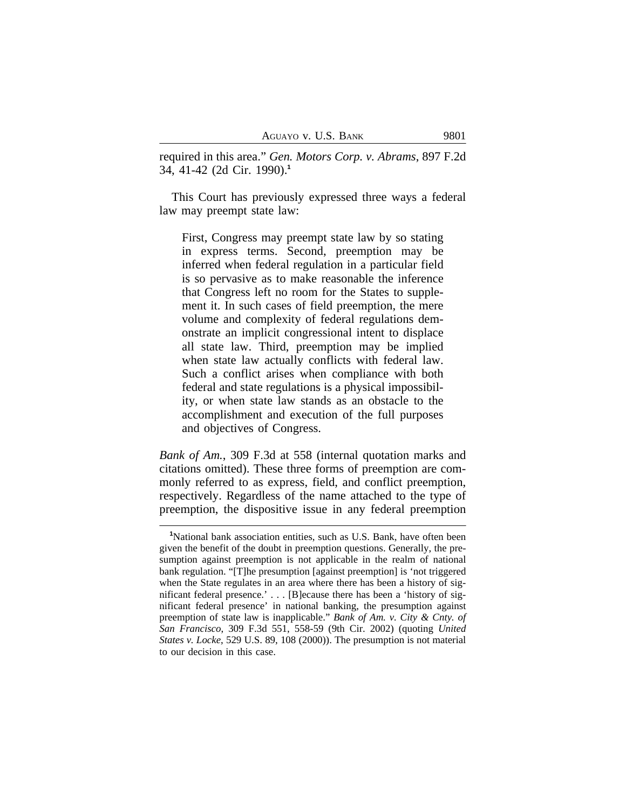required in this area." *Gen. Motors Corp. v. Abrams*, 897 F.2d 34, 41-42 (2d Cir. 1990).**<sup>1</sup>**

This Court has previously expressed three ways a federal law may preempt state law:

First, Congress may preempt state law by so stating in express terms. Second, preemption may be inferred when federal regulation in a particular field is so pervasive as to make reasonable the inference that Congress left no room for the States to supplement it. In such cases of field preemption, the mere volume and complexity of federal regulations demonstrate an implicit congressional intent to displace all state law. Third, preemption may be implied when state law actually conflicts with federal law. Such a conflict arises when compliance with both federal and state regulations is a physical impossibility, or when state law stands as an obstacle to the accomplishment and execution of the full purposes and objectives of Congress.

*Bank of Am.*, 309 F.3d at 558 (internal quotation marks and citations omitted). These three forms of preemption are commonly referred to as express, field, and conflict preemption, respectively. Regardless of the name attached to the type of preemption, the dispositive issue in any federal preemption

**<sup>1</sup>**National bank association entities, such as U.S. Bank, have often been given the benefit of the doubt in preemption questions. Generally, the presumption against preemption is not applicable in the realm of national bank regulation. "[T]he presumption [against preemption] is 'not triggered when the State regulates in an area where there has been a history of significant federal presence.' . . . [B]ecause there has been a 'history of significant federal presence' in national banking, the presumption against preemption of state law is inapplicable." *Bank of Am. v. City & Cnty. of San Francisco*, 309 F.3d 551, 558-59 (9th Cir. 2002) (quoting *United States v. Locke*, 529 U.S. 89, 108 (2000)). The presumption is not material to our decision in this case.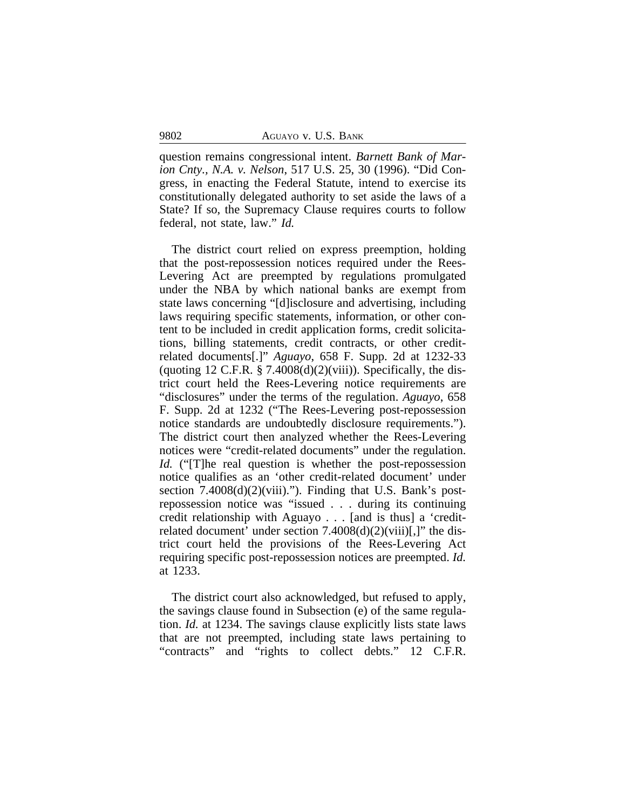question remains congressional intent. *Barnett Bank of Marion Cnty., N.A. v. Nelson*, 517 U.S. 25, 30 (1996). "Did Congress, in enacting the Federal Statute, intend to exercise its constitutionally delegated authority to set aside the laws of a State? If so, the Supremacy Clause requires courts to follow federal, not state, law." *Id.*

The district court relied on express preemption, holding that the post-repossession notices required under the Rees-Levering Act are preempted by regulations promulgated under the NBA by which national banks are exempt from state laws concerning "[d]isclosure and advertising, including laws requiring specific statements, information, or other content to be included in credit application forms, credit solicitations, billing statements, credit contracts, or other creditrelated documents[.]" *Aguayo*, 658 F. Supp. 2d at 1232-33 (quoting 12 C.F.R.  $\S$  7.4008(d)(2)(viii)). Specifically, the district court held the Rees-Levering notice requirements are "disclosures" under the terms of the regulation. *Aguayo*, 658 F. Supp. 2d at 1232 ("The Rees-Levering post-repossession notice standards are undoubtedly disclosure requirements."). The district court then analyzed whether the Rees-Levering notices were "credit-related documents" under the regulation. *Id.* ("The real question is whether the post-repossession notice qualifies as an 'other credit-related document' under section  $7.4008(d)(2)(viii)$ ."). Finding that U.S. Bank's postrepossession notice was "issued . . . during its continuing credit relationship with Aguayo . . . [and is thus] a 'creditrelated document' under section  $7.4008(d)(2)(viii)$ [,]" the district court held the provisions of the Rees-Levering Act requiring specific post-repossession notices are preempted. *Id.* at 1233.

The district court also acknowledged, but refused to apply, the savings clause found in Subsection (e) of the same regulation. *Id.* at 1234. The savings clause explicitly lists state laws that are not preempted, including state laws pertaining to "contracts" and "rights to collect debts." 12 C.F.R.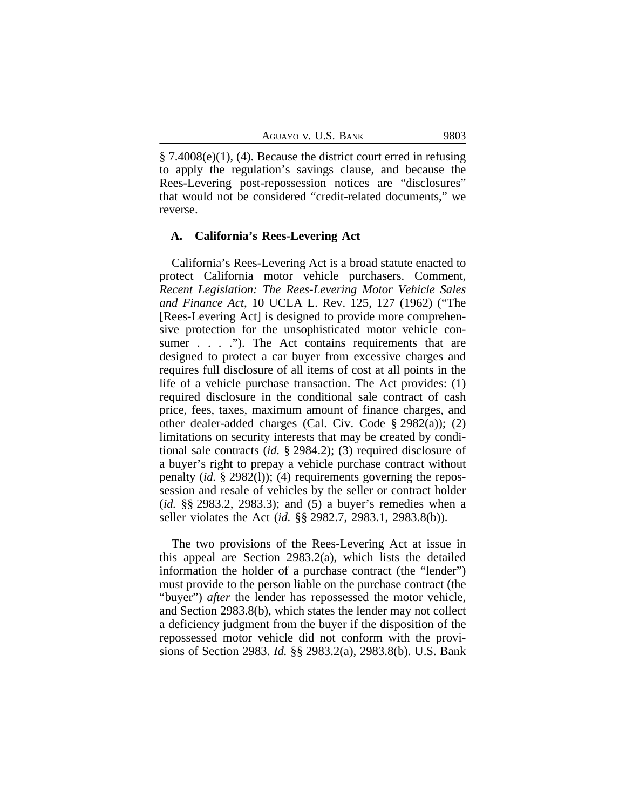§ 7.4008(e)(1), (4). Because the district court erred in refusing to apply the regulation's savings clause, and because the Rees-Levering post-repossession notices are "disclosures" that would not be considered "credit-related documents," we reverse.

#### **A. California's Rees-Levering Act**

California's Rees-Levering Act is a broad statute enacted to protect California motor vehicle purchasers. Comment, *Recent Legislation: The Rees-Levering Motor Vehicle Sales and Finance Act*, 10 UCLA L. Rev. 125, 127 (1962) ("The [Rees-Levering Act] is designed to provide more comprehensive protection for the unsophisticated motor vehicle consumer . . . . ."). The Act contains requirements that are designed to protect a car buyer from excessive charges and requires full disclosure of all items of cost at all points in the life of a vehicle purchase transaction. The Act provides: (1) required disclosure in the conditional sale contract of cash price, fees, taxes, maximum amount of finance charges, and other dealer-added charges (Cal. Civ. Code § 2982(a)); (2) limitations on security interests that may be created by conditional sale contracts (*id.* § 2984.2); (3) required disclosure of a buyer's right to prepay a vehicle purchase contract without penalty (*id.* § 2982(l)); (4) requirements governing the repossession and resale of vehicles by the seller or contract holder (*id.* §§ 2983.2, 2983.3); and (5) a buyer's remedies when a seller violates the Act (*id.* §§ 2982.7, 2983.1, 2983.8(b)).

The two provisions of the Rees-Levering Act at issue in this appeal are Section 2983.2(a), which lists the detailed information the holder of a purchase contract (the "lender") must provide to the person liable on the purchase contract (the "buyer") *after* the lender has repossessed the motor vehicle, and Section 2983.8(b), which states the lender may not collect a deficiency judgment from the buyer if the disposition of the repossessed motor vehicle did not conform with the provisions of Section 2983. *Id.* §§ 2983.2(a), 2983.8(b). U.S. Bank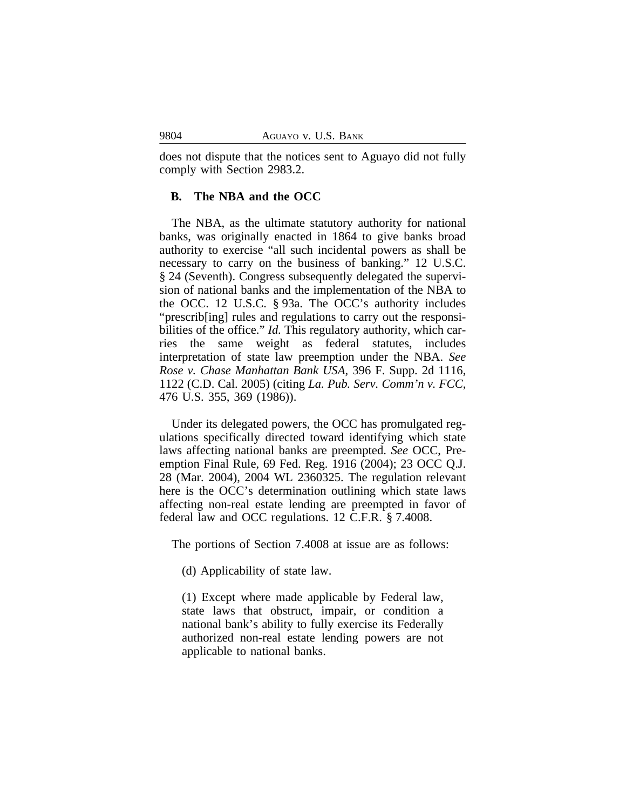does not dispute that the notices sent to Aguayo did not fully comply with Section 2983.2.

#### **B. The NBA and the OCC**

The NBA, as the ultimate statutory authority for national banks, was originally enacted in 1864 to give banks broad authority to exercise "all such incidental powers as shall be necessary to carry on the business of banking." 12 U.S.C. § 24 (Seventh). Congress subsequently delegated the supervision of national banks and the implementation of the NBA to the OCC. 12 U.S.C. § 93a. The OCC's authority includes "prescrib[ing] rules and regulations to carry out the responsibilities of the office." *Id.* This regulatory authority, which carries the same weight as federal statutes, includes interpretation of state law preemption under the NBA. *See Rose v. Chase Manhattan Bank USA*, 396 F. Supp. 2d 1116, 1122 (C.D. Cal. 2005) (citing *La. Pub. Serv. Comm'n v. FCC*, 476 U.S. 355, 369 (1986)).

Under its delegated powers, the OCC has promulgated regulations specifically directed toward identifying which state laws affecting national banks are preempted. *See* OCC, Preemption Final Rule, 69 Fed. Reg. 1916 (2004); 23 OCC Q.J. 28 (Mar. 2004), 2004 WL 2360325. The regulation relevant here is the OCC's determination outlining which state laws affecting non-real estate lending are preempted in favor of federal law and OCC regulations. 12 C.F.R. § 7.4008.

The portions of Section 7.4008 at issue are as follows:

(d) Applicability of state law.

(1) Except where made applicable by Federal law, state laws that obstruct, impair, or condition a national bank's ability to fully exercise its Federally authorized non-real estate lending powers are not applicable to national banks.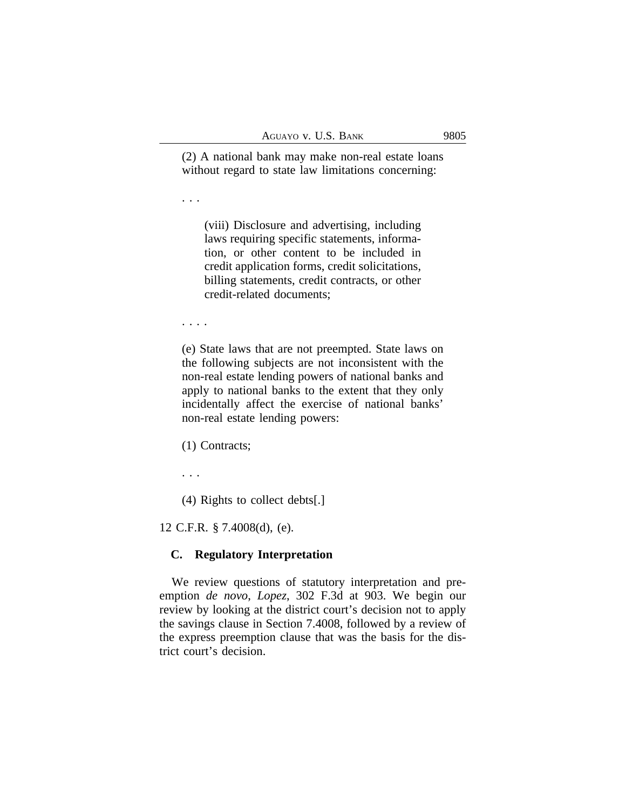(2) A national bank may make non-real estate loans without regard to state law limitations concerning:

. . .

(viii) Disclosure and advertising, including laws requiring specific statements, information, or other content to be included in credit application forms, credit solicitations, billing statements, credit contracts, or other credit-related documents;

. . . .

(e) State laws that are not preempted. State laws on the following subjects are not inconsistent with the non-real estate lending powers of national banks and apply to national banks to the extent that they only incidentally affect the exercise of national banks' non-real estate lending powers:

(1) Contracts;

. . .

(4) Rights to collect debts[.]

12 C.F.R. § 7.4008(d), (e).

# **C. Regulatory Interpretation**

We review questions of statutory interpretation and preemption *de novo*, *Lopez*, 302 F.3d at 903. We begin our review by looking at the district court's decision not to apply the savings clause in Section 7.4008, followed by a review of the express preemption clause that was the basis for the district court's decision.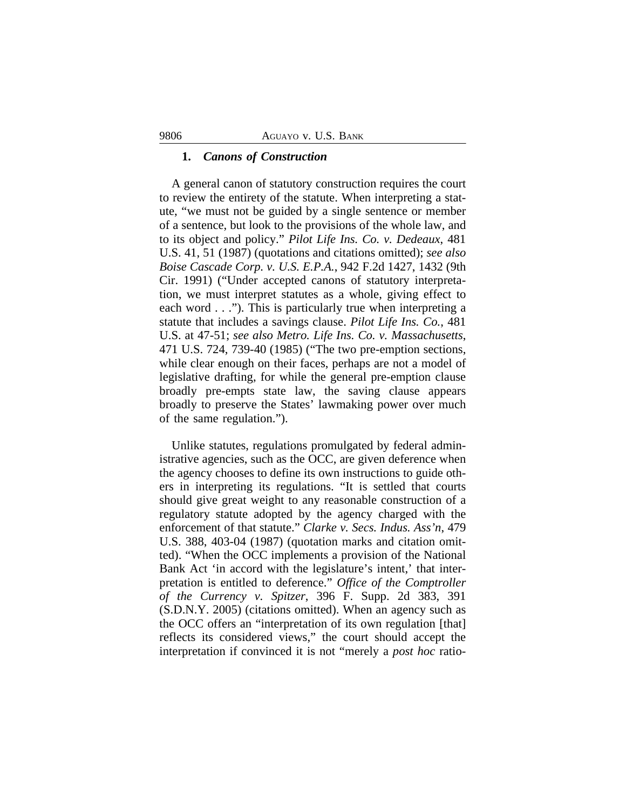### **1.** *Canons of Construction*

A general canon of statutory construction requires the court to review the entirety of the statute. When interpreting a statute, "we must not be guided by a single sentence or member of a sentence, but look to the provisions of the whole law, and to its object and policy." *Pilot Life Ins. Co. v. Dedeaux*, 481 U.S. 41, 51 (1987) (quotations and citations omitted); *see also Boise Cascade Corp. v. U.S. E.P.A.*, 942 F.2d 1427, 1432 (9th Cir. 1991) ("Under accepted canons of statutory interpretation, we must interpret statutes as a whole, giving effect to each word . . ."). This is particularly true when interpreting a statute that includes a savings clause. *Pilot Life Ins. Co.*, 481 U.S. at 47-51; *see also Metro. Life Ins. Co. v. Massachusetts*, 471 U.S. 724, 739-40 (1985) ("The two pre-emption sections, while clear enough on their faces, perhaps are not a model of legislative drafting, for while the general pre-emption clause broadly pre-empts state law, the saving clause appears broadly to preserve the States' lawmaking power over much of the same regulation.").

Unlike statutes, regulations promulgated by federal administrative agencies, such as the OCC, are given deference when the agency chooses to define its own instructions to guide others in interpreting its regulations. "It is settled that courts should give great weight to any reasonable construction of a regulatory statute adopted by the agency charged with the enforcement of that statute." *Clarke v. Secs. Indus. Ass'n*, 479 U.S. 388, 403-04 (1987) (quotation marks and citation omitted). "When the OCC implements a provision of the National Bank Act 'in accord with the legislature's intent,' that interpretation is entitled to deference." *Office of the Comptroller of the Currency v. Spitzer*, 396 F. Supp. 2d 383, 391 (S.D.N.Y. 2005) (citations omitted). When an agency such as the OCC offers an "interpretation of its own regulation [that] reflects its considered views," the court should accept the interpretation if convinced it is not "merely a *post hoc* ratio-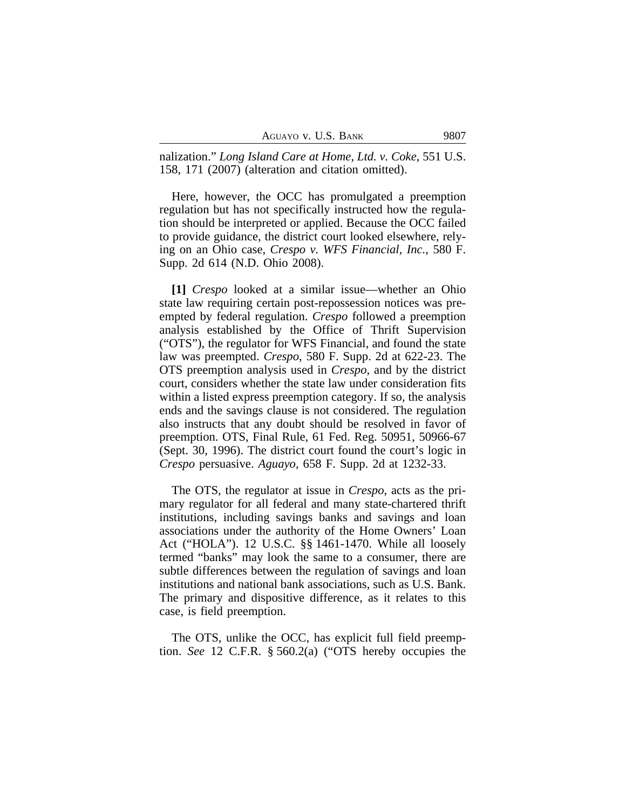AGUAYO V. U.S. BANK 9807

nalization." *Long Island Care at Home, Ltd. v. Coke*, 551 U.S. 158, 171 (2007) (alteration and citation omitted).

Here, however, the OCC has promulgated a preemption regulation but has not specifically instructed how the regulation should be interpreted or applied. Because the OCC failed to provide guidance, the district court looked elsewhere, relying on an Ohio case, *Crespo v. WFS Financial, Inc.*, 580 F. Supp. 2d 614 (N.D. Ohio 2008).

**[1]** *Crespo* looked at a similar issue—whether an Ohio state law requiring certain post-repossession notices was preempted by federal regulation. *Crespo* followed a preemption analysis established by the Office of Thrift Supervision ("OTS"), the regulator for WFS Financial, and found the state law was preempted. *Crespo*, 580 F. Supp. 2d at 622-23. The OTS preemption analysis used in *Crespo*, and by the district court, considers whether the state law under consideration fits within a listed express preemption category. If so, the analysis ends and the savings clause is not considered. The regulation also instructs that any doubt should be resolved in favor of preemption. OTS, Final Rule, 61 Fed. Reg. 50951, 50966-67 (Sept. 30, 1996). The district court found the court's logic in *Crespo* persuasive. *Aguayo*, 658 F. Supp. 2d at 1232-33.

The OTS, the regulator at issue in *Crespo*, acts as the primary regulator for all federal and many state-chartered thrift institutions, including savings banks and savings and loan associations under the authority of the Home Owners' Loan Act ("HOLA"). 12 U.S.C. §§ 1461-1470. While all loosely termed "banks" may look the same to a consumer, there are subtle differences between the regulation of savings and loan institutions and national bank associations, such as U.S. Bank. The primary and dispositive difference, as it relates to this case, is field preemption.

The OTS, unlike the OCC, has explicit full field preemption. *See* 12 C.F.R. § 560.2(a) ("OTS hereby occupies the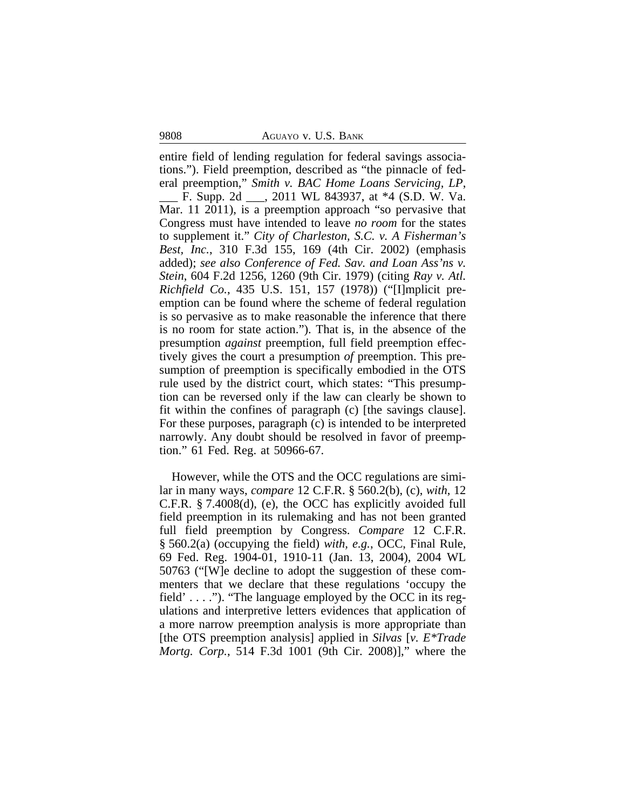9808 AGUAYO v. U.S. BANK

entire field of lending regulation for federal savings associations."). Field preemption, described as "the pinnacle of federal preemption," *Smith v. BAC Home Loans Servicing, LP*, \_\_\_ F. Supp. 2d \_\_\_, 2011 WL 843937, at \*4 (S.D. W. Va. Mar. 11 2011), is a preemption approach "so pervasive that Congress must have intended to leave *no room* for the states to supplement it." *City of Charleston, S.C. v. A Fisherman's Best, Inc.*, 310 F.3d 155, 169 (4th Cir. 2002) (emphasis added); *see also Conference of Fed. Sav. and Loan Ass'ns v. Stein*, 604 F.2d 1256, 1260 (9th Cir. 1979) (citing *Ray v. Atl. Richfield Co.*, 435 U.S. 151, 157 (1978)) ("[I]mplicit preemption can be found where the scheme of federal regulation is so pervasive as to make reasonable the inference that there is no room for state action."). That is, in the absence of the presumption *against* preemption, full field preemption effectively gives the court a presumption *of* preemption. This presumption of preemption is specifically embodied in the OTS rule used by the district court, which states: "This presumption can be reversed only if the law can clearly be shown to fit within the confines of paragraph (c) [the savings clause]. For these purposes, paragraph (c) is intended to be interpreted narrowly. Any doubt should be resolved in favor of preemption." 61 Fed. Reg. at 50966-67.

However, while the OTS and the OCC regulations are similar in many ways, *compare* 12 C.F.R. § 560.2(b), (c), *with*, 12 C.F.R. § 7.4008(d), (e), the OCC has explicitly avoided full field preemption in its rulemaking and has not been granted full field preemption by Congress. *Compare* 12 C.F.R. § 560.2(a) (occupying the field) *with, e.g.*, OCC, Final Rule, 69 Fed. Reg. 1904-01, 1910-11 (Jan. 13, 2004), 2004 WL 50763 ("[W]e decline to adopt the suggestion of these commenters that we declare that these regulations 'occupy the field'  $\dots$  ."). "The language employed by the OCC in its regulations and interpretive letters evidences that application of a more narrow preemption analysis is more appropriate than [the OTS preemption analysis] applied in *Silvas* [*v. E\*Trade Mortg. Corp.*, 514 F.3d 1001 (9th Cir. 2008)]," where the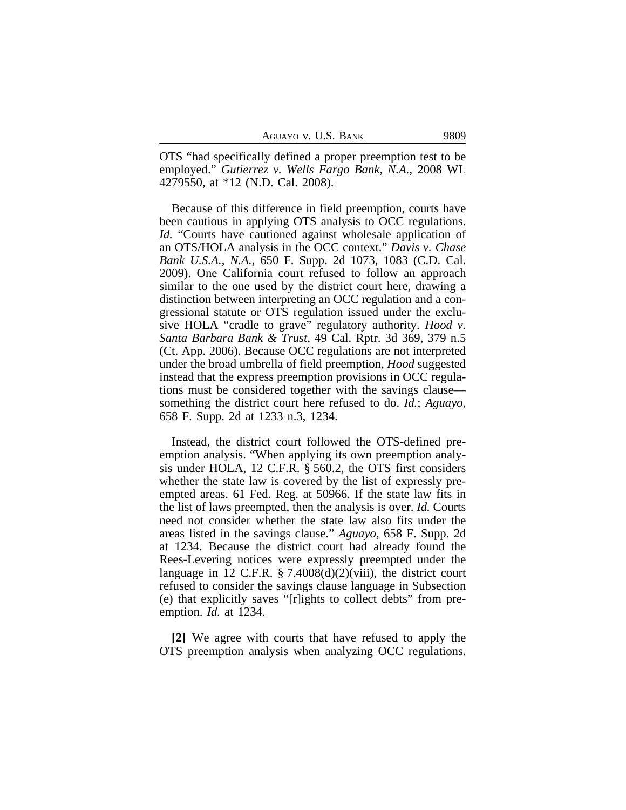OTS "had specifically defined a proper preemption test to be employed." *Gutierrez v. Wells Fargo Bank, N.A.*, 2008 WL 4279550, at \*12 (N.D. Cal. 2008).

Because of this difference in field preemption, courts have been cautious in applying OTS analysis to OCC regulations. *Id.* "Courts have cautioned against wholesale application of an OTS/HOLA analysis in the OCC context." *Davis v. Chase Bank U.S.A., N.A.*, 650 F. Supp. 2d 1073, 1083 (C.D. Cal. 2009). One California court refused to follow an approach similar to the one used by the district court here, drawing a distinction between interpreting an OCC regulation and a congressional statute or OTS regulation issued under the exclusive HOLA "cradle to grave" regulatory authority. *Hood v. Santa Barbara Bank & Trust*, 49 Cal. Rptr. 3d 369, 379 n.5 (Ct. App. 2006). Because OCC regulations are not interpreted under the broad umbrella of field preemption, *Hood* suggested instead that the express preemption provisions in OCC regulations must be considered together with the savings clause something the district court here refused to do. *Id.*; *Aguayo*, 658 F. Supp. 2d at 1233 n.3, 1234.

Instead, the district court followed the OTS-defined preemption analysis. "When applying its own preemption analysis under HOLA, 12 C.F.R. § 560.2, the OTS first considers whether the state law is covered by the list of expressly preempted areas. 61 Fed. Reg. at 50966. If the state law fits in the list of laws preempted, then the analysis is over. *Id.* Courts need not consider whether the state law also fits under the areas listed in the savings clause." *Aguayo*, 658 F. Supp. 2d at 1234. Because the district court had already found the Rees-Levering notices were expressly preempted under the language in 12 C.F.R.  $\S$  7.4008(d)(2)(viii), the district court refused to consider the savings clause language in Subsection (e) that explicitly saves "[r]ights to collect debts" from preemption. *Id.* at 1234.

**[2]** We agree with courts that have refused to apply the OTS preemption analysis when analyzing OCC regulations.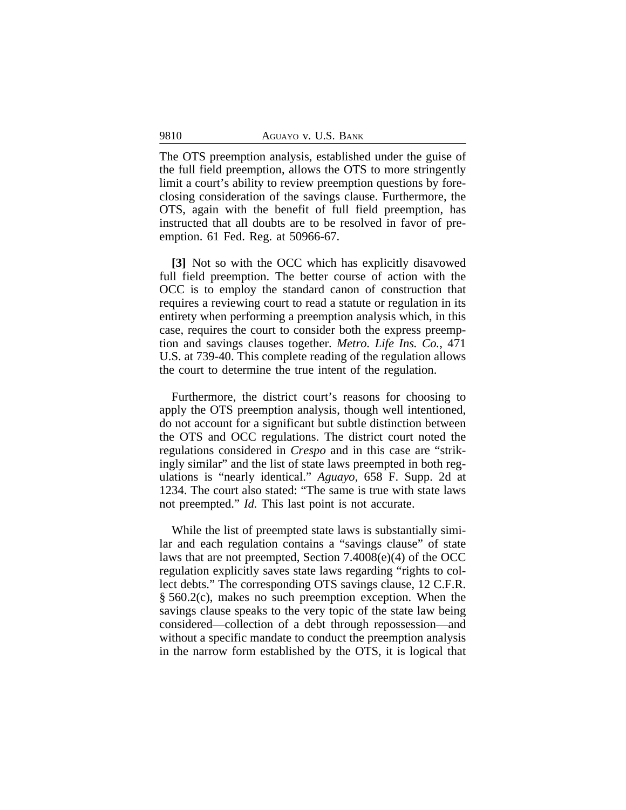The OTS preemption analysis, established under the guise of the full field preemption, allows the OTS to more stringently limit a court's ability to review preemption questions by foreclosing consideration of the savings clause. Furthermore, the OTS, again with the benefit of full field preemption, has instructed that all doubts are to be resolved in favor of preemption. 61 Fed. Reg. at 50966-67.

**[3]** Not so with the OCC which has explicitly disavowed full field preemption. The better course of action with the OCC is to employ the standard canon of construction that requires a reviewing court to read a statute or regulation in its entirety when performing a preemption analysis which, in this case, requires the court to consider both the express preemption and savings clauses together. *Metro. Life Ins. Co.*, 471 U.S. at 739-40. This complete reading of the regulation allows the court to determine the true intent of the regulation.

Furthermore, the district court's reasons for choosing to apply the OTS preemption analysis, though well intentioned, do not account for a significant but subtle distinction between the OTS and OCC regulations. The district court noted the regulations considered in *Crespo* and in this case are "strikingly similar" and the list of state laws preempted in both regulations is "nearly identical." *Aguayo*, 658 F. Supp. 2d at 1234. The court also stated: "The same is true with state laws not preempted." *Id.* This last point is not accurate.

While the list of preempted state laws is substantially similar and each regulation contains a "savings clause" of state laws that are not preempted, Section 7.4008(e)(4) of the OCC regulation explicitly saves state laws regarding "rights to collect debts." The corresponding OTS savings clause, 12 C.F.R. § 560.2(c), makes no such preemption exception. When the savings clause speaks to the very topic of the state law being considered—collection of a debt through repossession—and without a specific mandate to conduct the preemption analysis in the narrow form established by the OTS, it is logical that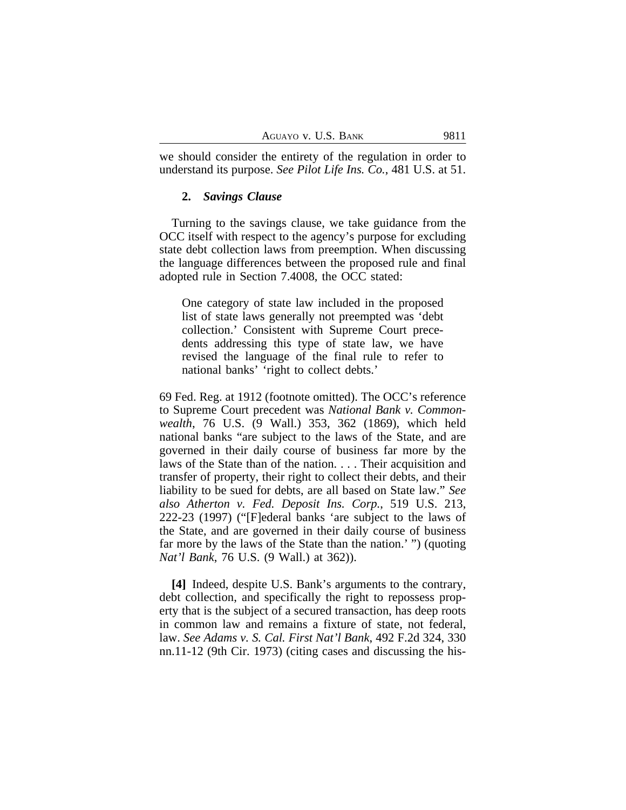we should consider the entirety of the regulation in order to understand its purpose. *See Pilot Life Ins. Co.*, 481 U.S. at 51.

#### **2.** *Savings Clause*

Turning to the savings clause, we take guidance from the OCC itself with respect to the agency's purpose for excluding state debt collection laws from preemption. When discussing the language differences between the proposed rule and final adopted rule in Section 7.4008, the OCC stated:

One category of state law included in the proposed list of state laws generally not preempted was 'debt collection.' Consistent with Supreme Court precedents addressing this type of state law, we have revised the language of the final rule to refer to national banks' 'right to collect debts.'

69 Fed. Reg. at 1912 (footnote omitted). The OCC's reference to Supreme Court precedent was *National Bank v. Commonwealth*, 76 U.S. (9 Wall.) 353, 362 (1869), which held national banks "are subject to the laws of the State, and are governed in their daily course of business far more by the laws of the State than of the nation. . . . Their acquisition and transfer of property, their right to collect their debts, and their liability to be sued for debts, are all based on State law." *See also Atherton v. Fed. Deposit Ins. Corp.*, 519 U.S. 213, 222-23 (1997) ("[F]ederal banks 'are subject to the laws of the State, and are governed in their daily course of business far more by the laws of the State than the nation.' ") (quoting *Nat'l Bank*, 76 U.S. (9 Wall.) at 362)).

**[4]** Indeed, despite U.S. Bank's arguments to the contrary, debt collection, and specifically the right to repossess property that is the subject of a secured transaction, has deep roots in common law and remains a fixture of state, not federal, law. *See Adams v. S. Cal. First Nat'l Bank*, 492 F.2d 324, 330 nn.11-12 (9th Cir. 1973) (citing cases and discussing the his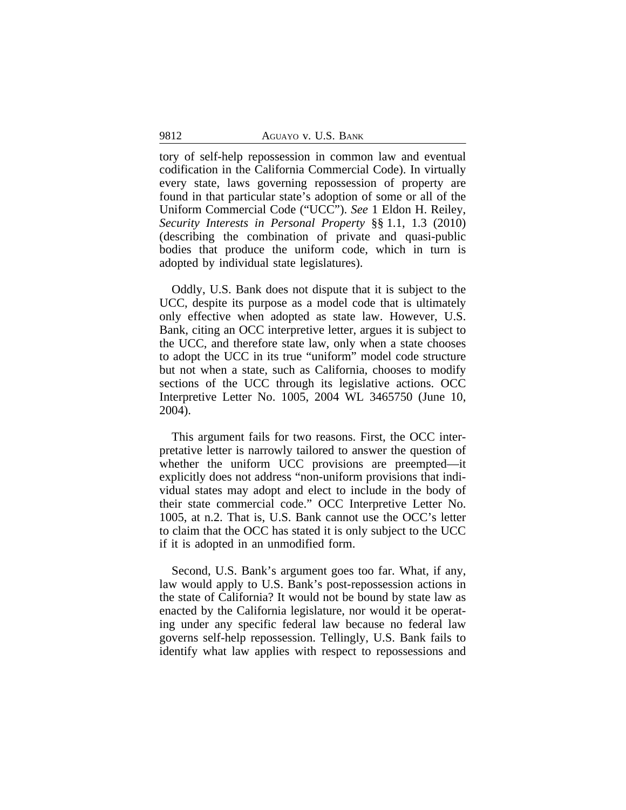tory of self-help repossession in common law and eventual codification in the California Commercial Code). In virtually every state, laws governing repossession of property are found in that particular state's adoption of some or all of the Uniform Commercial Code ("UCC"). *See* 1 Eldon H. Reiley, *Security Interests in Personal Property* §§ 1.1, 1.3 (2010) (describing the combination of private and quasi-public bodies that produce the uniform code, which in turn is adopted by individual state legislatures).

Oddly, U.S. Bank does not dispute that it is subject to the UCC, despite its purpose as a model code that is ultimately only effective when adopted as state law. However, U.S. Bank, citing an OCC interpretive letter, argues it is subject to the UCC, and therefore state law, only when a state chooses to adopt the UCC in its true "uniform" model code structure but not when a state, such as California, chooses to modify sections of the UCC through its legislative actions. OCC Interpretive Letter No. 1005, 2004 WL 3465750 (June 10, 2004).

This argument fails for two reasons. First, the OCC interpretative letter is narrowly tailored to answer the question of whether the uniform UCC provisions are preempted—it explicitly does not address "non-uniform provisions that individual states may adopt and elect to include in the body of their state commercial code." OCC Interpretive Letter No. 1005, at n.2. That is, U.S. Bank cannot use the OCC's letter to claim that the OCC has stated it is only subject to the UCC if it is adopted in an unmodified form.

Second, U.S. Bank's argument goes too far. What, if any, law would apply to U.S. Bank's post-repossession actions in the state of California? It would not be bound by state law as enacted by the California legislature, nor would it be operating under any specific federal law because no federal law governs self-help repossession. Tellingly, U.S. Bank fails to identify what law applies with respect to repossessions and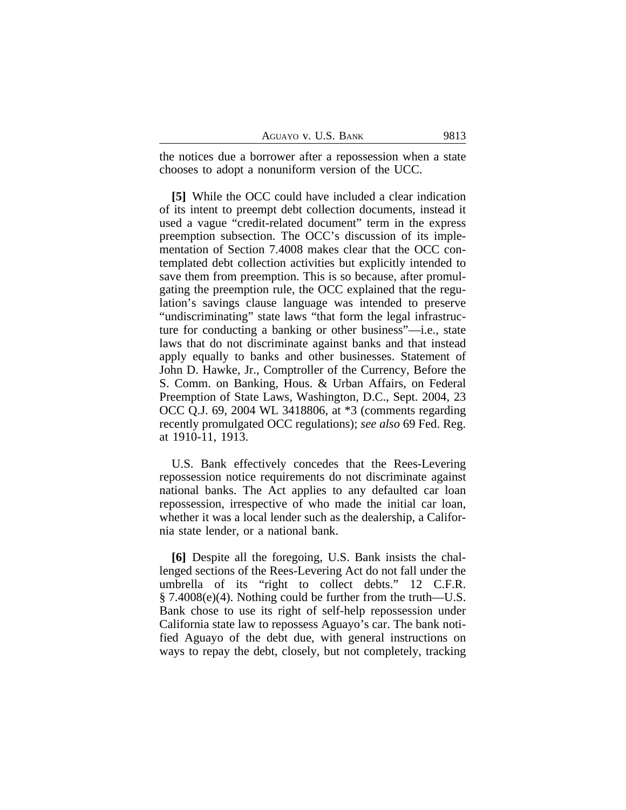| AGUAYO V. U.S. BANK | 9813 |
|---------------------|------|
|---------------------|------|

the notices due a borrower after a repossession when a state chooses to adopt a nonuniform version of the UCC.

**[5]** While the OCC could have included a clear indication of its intent to preempt debt collection documents, instead it used a vague "credit-related document" term in the express preemption subsection. The OCC's discussion of its implementation of Section 7.4008 makes clear that the OCC contemplated debt collection activities but explicitly intended to save them from preemption. This is so because, after promulgating the preemption rule, the OCC explained that the regulation's savings clause language was intended to preserve "undiscriminating" state laws "that form the legal infrastructure for conducting a banking or other business"—i.e., state laws that do not discriminate against banks and that instead apply equally to banks and other businesses. Statement of John D. Hawke, Jr., Comptroller of the Currency, Before the S. Comm. on Banking, Hous. & Urban Affairs, on Federal Preemption of State Laws, Washington, D.C., Sept. 2004, 23 OCC Q.J. 69, 2004 WL 3418806, at \*3 (comments regarding recently promulgated OCC regulations); *see also* 69 Fed. Reg. at 1910-11, 1913.

U.S. Bank effectively concedes that the Rees-Levering repossession notice requirements do not discriminate against national banks. The Act applies to any defaulted car loan repossession, irrespective of who made the initial car loan, whether it was a local lender such as the dealership, a California state lender, or a national bank.

**[6]** Despite all the foregoing, U.S. Bank insists the challenged sections of the Rees-Levering Act do not fall under the umbrella of its "right to collect debts." 12 C.F.R.  $\S$  7.4008(e)(4). Nothing could be further from the truth—U.S. Bank chose to use its right of self-help repossession under California state law to repossess Aguayo's car. The bank notified Aguayo of the debt due, with general instructions on ways to repay the debt, closely, but not completely, tracking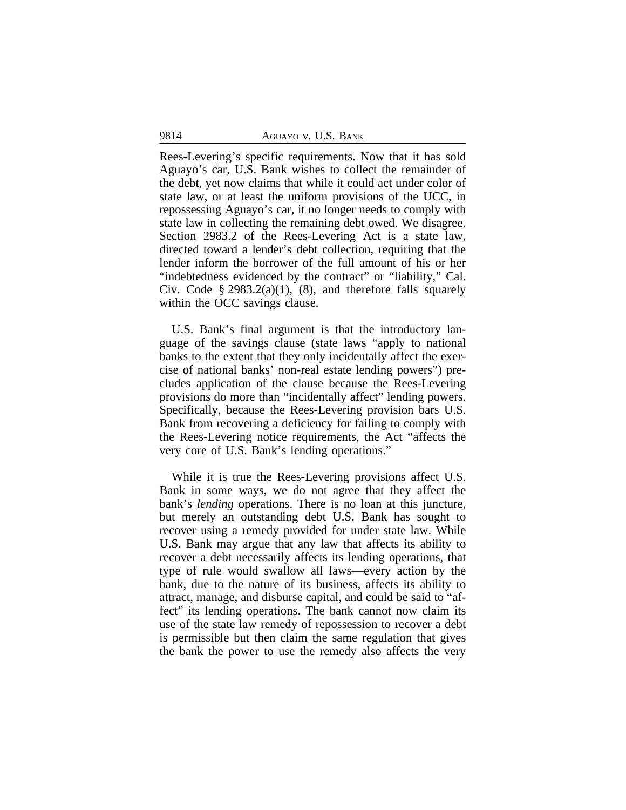Rees-Levering's specific requirements. Now that it has sold Aguayo's car, U.S. Bank wishes to collect the remainder of the debt, yet now claims that while it could act under color of state law, or at least the uniform provisions of the UCC, in repossessing Aguayo's car, it no longer needs to comply with state law in collecting the remaining debt owed. We disagree. Section 2983.2 of the Rees-Levering Act is a state law, directed toward a lender's debt collection, requiring that the lender inform the borrower of the full amount of his or her "indebtedness evidenced by the contract" or "liability," Cal. Civ. Code  $\S 2983.2(a)(1)$ , (8), and therefore falls squarely within the OCC savings clause.

U.S. Bank's final argument is that the introductory language of the savings clause (state laws "apply to national banks to the extent that they only incidentally affect the exercise of national banks' non-real estate lending powers") precludes application of the clause because the Rees-Levering provisions do more than "incidentally affect" lending powers. Specifically, because the Rees-Levering provision bars U.S. Bank from recovering a deficiency for failing to comply with the Rees-Levering notice requirements, the Act "affects the very core of U.S. Bank's lending operations."

While it is true the Rees-Levering provisions affect U.S. Bank in some ways, we do not agree that they affect the bank's *lending* operations. There is no loan at this juncture, but merely an outstanding debt U.S. Bank has sought to recover using a remedy provided for under state law. While U.S. Bank may argue that any law that affects its ability to recover a debt necessarily affects its lending operations, that type of rule would swallow all laws—every action by the bank, due to the nature of its business, affects its ability to attract, manage, and disburse capital, and could be said to "affect" its lending operations. The bank cannot now claim its use of the state law remedy of repossession to recover a debt is permissible but then claim the same regulation that gives the bank the power to use the remedy also affects the very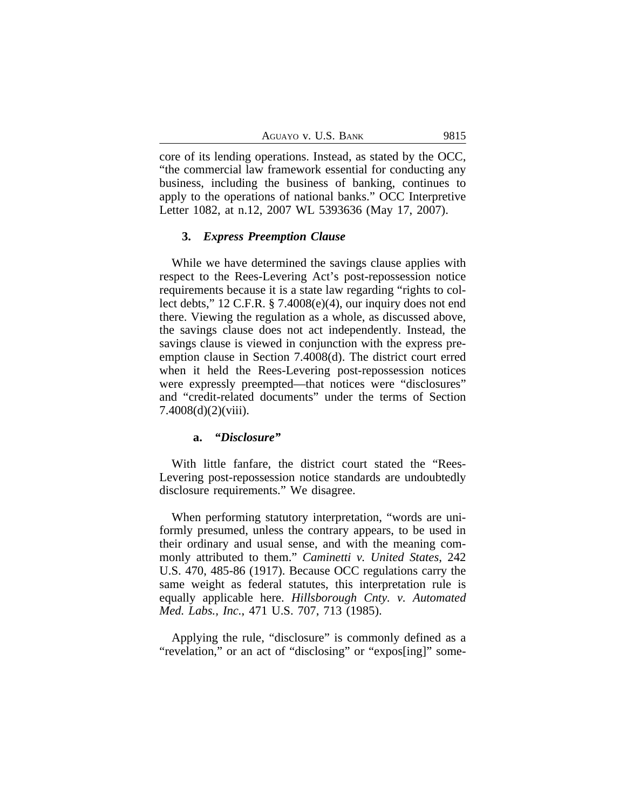core of its lending operations. Instead, as stated by the OCC, "the commercial law framework essential for conducting any business, including the business of banking, continues to apply to the operations of national banks." OCC Interpretive Letter 1082, at n.12, 2007 WL 5393636 (May 17, 2007).

## **3.** *Express Preemption Clause*

While we have determined the savings clause applies with respect to the Rees-Levering Act's post-repossession notice requirements because it is a state law regarding "rights to collect debts," 12 C.F.R. § 7.4008(e)(4), our inquiry does not end there. Viewing the regulation as a whole, as discussed above, the savings clause does not act independently. Instead, the savings clause is viewed in conjunction with the express preemption clause in Section 7.4008(d). The district court erred when it held the Rees-Levering post-repossession notices were expressly preempted—that notices were "disclosures" and "credit-related documents" under the terms of Section 7.4008(d)(2)(viii).

#### **a.** *"Disclosure"*

With little fanfare, the district court stated the "Rees-Levering post-repossession notice standards are undoubtedly disclosure requirements." We disagree.

When performing statutory interpretation, "words are uniformly presumed, unless the contrary appears, to be used in their ordinary and usual sense, and with the meaning commonly attributed to them." *Caminetti v. United States*, 242 U.S. 470, 485-86 (1917). Because OCC regulations carry the same weight as federal statutes, this interpretation rule is equally applicable here. *Hillsborough Cnty. v. Automated Med. Labs., Inc.*, 471 U.S. 707, 713 (1985).

Applying the rule, "disclosure" is commonly defined as a "revelation," or an act of "disclosing" or "expos[ing]" some-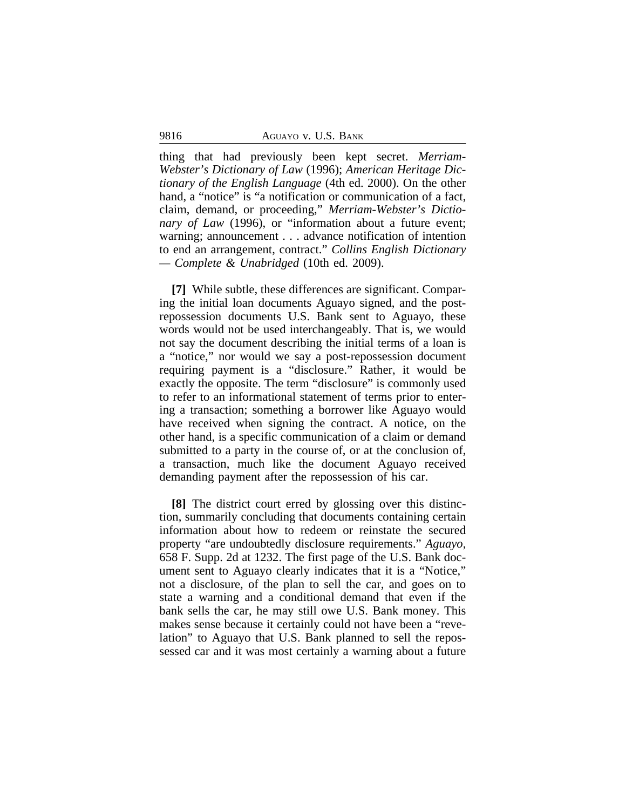thing that had previously been kept secret. *Merriam-Webster's Dictionary of Law* (1996); *American Heritage Dictionary of the English Language* (4th ed. 2000). On the other hand, a "notice" is "a notification or communication of a fact, claim, demand, or proceeding," *Merriam-Webster's Dictionary of Law* (1996), or "information about a future event; warning; announcement . . . advance notification of intention to end an arrangement, contract." *Collins English Dictionary — Complete & Unabridged* (10th ed. 2009).

**[7]** While subtle, these differences are significant. Comparing the initial loan documents Aguayo signed, and the postrepossession documents U.S. Bank sent to Aguayo, these words would not be used interchangeably. That is, we would not say the document describing the initial terms of a loan is a "notice," nor would we say a post-repossession document requiring payment is a "disclosure." Rather, it would be exactly the opposite. The term "disclosure" is commonly used to refer to an informational statement of terms prior to entering a transaction; something a borrower like Aguayo would have received when signing the contract. A notice, on the other hand, is a specific communication of a claim or demand submitted to a party in the course of, or at the conclusion of, a transaction, much like the document Aguayo received demanding payment after the repossession of his car.

**[8]** The district court erred by glossing over this distinction, summarily concluding that documents containing certain information about how to redeem or reinstate the secured property "are undoubtedly disclosure requirements." *Aguayo*, 658 F. Supp. 2d at 1232. The first page of the U.S. Bank document sent to Aguayo clearly indicates that it is a "Notice," not a disclosure, of the plan to sell the car, and goes on to state a warning and a conditional demand that even if the bank sells the car, he may still owe U.S. Bank money. This makes sense because it certainly could not have been a "revelation" to Aguayo that U.S. Bank planned to sell the repossessed car and it was most certainly a warning about a future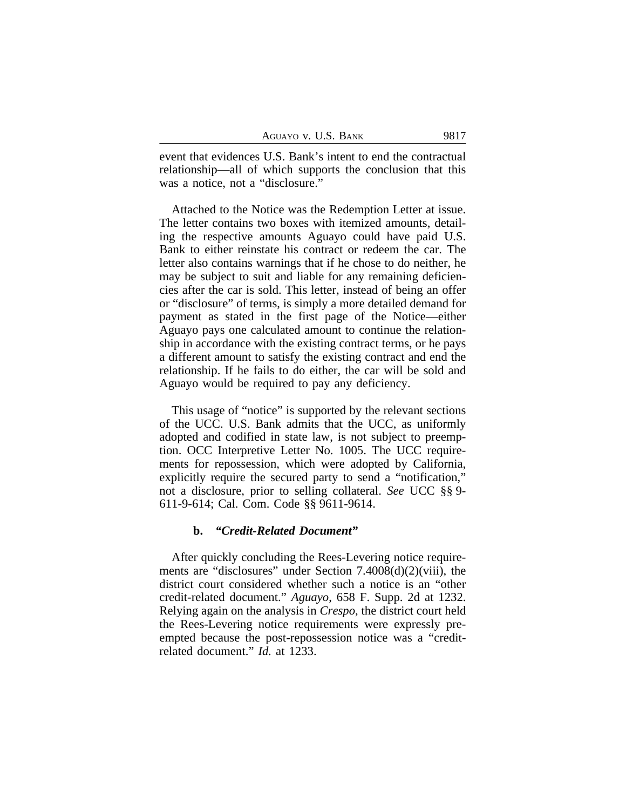event that evidences U.S. Bank's intent to end the contractual relationship—all of which supports the conclusion that this was a notice, not a "disclosure."

Attached to the Notice was the Redemption Letter at issue. The letter contains two boxes with itemized amounts, detailing the respective amounts Aguayo could have paid U.S. Bank to either reinstate his contract or redeem the car. The letter also contains warnings that if he chose to do neither, he may be subject to suit and liable for any remaining deficiencies after the car is sold. This letter, instead of being an offer or "disclosure" of terms, is simply a more detailed demand for payment as stated in the first page of the Notice—either Aguayo pays one calculated amount to continue the relationship in accordance with the existing contract terms, or he pays a different amount to satisfy the existing contract and end the relationship. If he fails to do either, the car will be sold and Aguayo would be required to pay any deficiency.

This usage of "notice" is supported by the relevant sections of the UCC. U.S. Bank admits that the UCC, as uniformly adopted and codified in state law, is not subject to preemption. OCC Interpretive Letter No. 1005. The UCC requirements for repossession, which were adopted by California, explicitly require the secured party to send a "notification," not a disclosure, prior to selling collateral. *See* UCC §§ 9- 611-9-614; Cal. Com. Code §§ 9611-9614.

# **b.** *"Credit-Related Document"*

After quickly concluding the Rees-Levering notice requirements are "disclosures" under Section 7.4008(d)(2)(viii), the district court considered whether such a notice is an "other credit-related document." *Aguayo*, 658 F. Supp. 2d at 1232. Relying again on the analysis in *Crespo*, the district court held the Rees-Levering notice requirements were expressly preempted because the post-repossession notice was a "creditrelated document." *Id.* at 1233.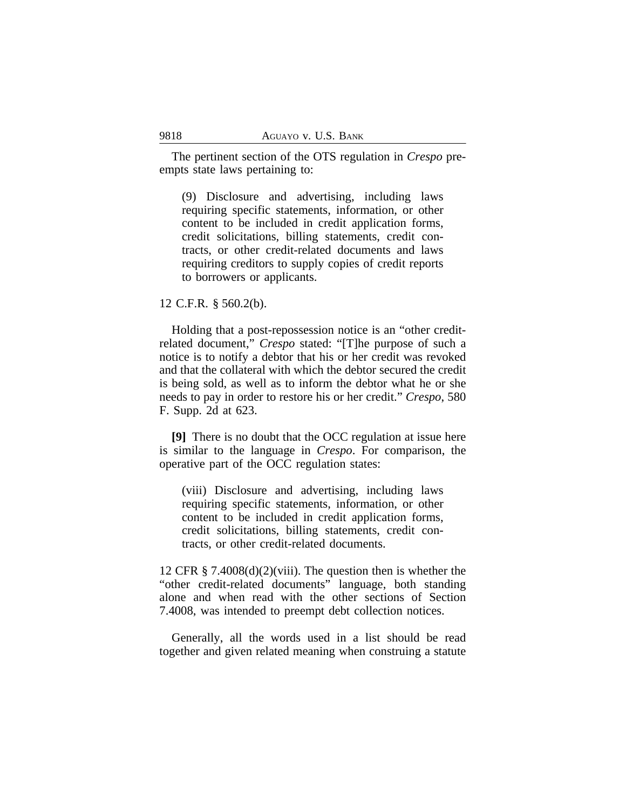The pertinent section of the OTS regulation in *Crespo* preempts state laws pertaining to:

(9) Disclosure and advertising, including laws requiring specific statements, information, or other content to be included in credit application forms, credit solicitations, billing statements, credit contracts, or other credit-related documents and laws requiring creditors to supply copies of credit reports to borrowers or applicants.

# 12 C.F.R. § 560.2(b).

Holding that a post-repossession notice is an "other creditrelated document," *Crespo* stated: "[T]he purpose of such a notice is to notify a debtor that his or her credit was revoked and that the collateral with which the debtor secured the credit is being sold, as well as to inform the debtor what he or she needs to pay in order to restore his or her credit." *Crespo*, 580 F. Supp. 2d at 623.

**[9]** There is no doubt that the OCC regulation at issue here is similar to the language in *Crespo*. For comparison, the operative part of the OCC regulation states:

(viii) Disclosure and advertising, including laws requiring specific statements, information, or other content to be included in credit application forms, credit solicitations, billing statements, credit contracts, or other credit-related documents.

12 CFR § 7.4008(d)(2)(viii). The question then is whether the "other credit-related documents" language, both standing alone and when read with the other sections of Section 7.4008, was intended to preempt debt collection notices.

Generally, all the words used in a list should be read together and given related meaning when construing a statute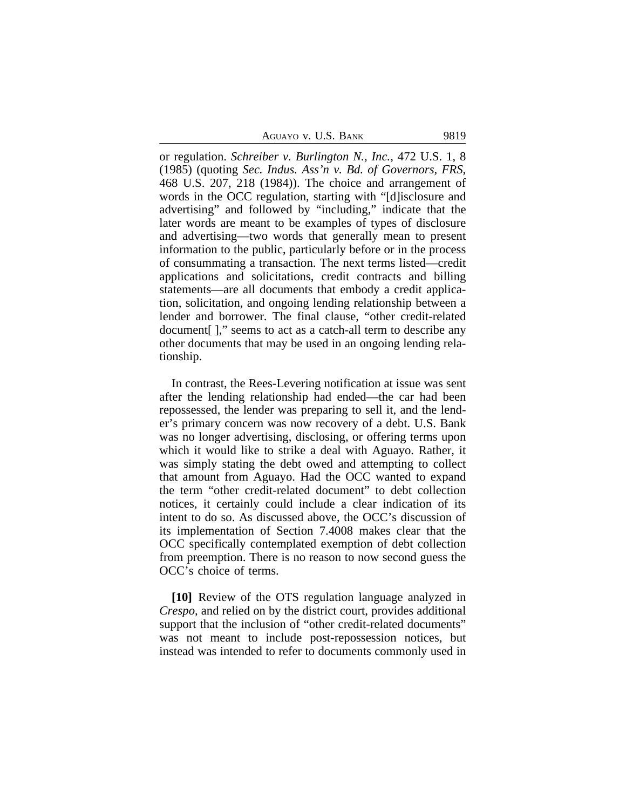AGUAYO V. U.S. BANK 9819

or regulation. *Schreiber v. Burlington N., Inc.*, 472 U.S. 1, 8 (1985) (quoting *Sec. Indus. Ass'n v. Bd. of Governors, FRS*, 468 U.S. 207, 218 (1984)). The choice and arrangement of words in the OCC regulation, starting with "[d]isclosure and advertising" and followed by "including," indicate that the later words are meant to be examples of types of disclosure and advertising—two words that generally mean to present information to the public, particularly before or in the process of consummating a transaction. The next terms listed—credit applications and solicitations, credit contracts and billing statements—are all documents that embody a credit application, solicitation, and ongoing lending relationship between a lender and borrower. The final clause, "other credit-related document[ ]," seems to act as a catch-all term to describe any other documents that may be used in an ongoing lending relationship.

In contrast, the Rees-Levering notification at issue was sent after the lending relationship had ended—the car had been repossessed, the lender was preparing to sell it, and the lender's primary concern was now recovery of a debt. U.S. Bank was no longer advertising, disclosing, or offering terms upon which it would like to strike a deal with Aguayo. Rather, it was simply stating the debt owed and attempting to collect that amount from Aguayo. Had the OCC wanted to expand the term "other credit-related document" to debt collection notices, it certainly could include a clear indication of its intent to do so. As discussed above, the OCC's discussion of its implementation of Section 7.4008 makes clear that the OCC specifically contemplated exemption of debt collection from preemption. There is no reason to now second guess the OCC's choice of terms.

**[10]** Review of the OTS regulation language analyzed in *Crespo*, and relied on by the district court, provides additional support that the inclusion of "other credit-related documents" was not meant to include post-repossession notices, but instead was intended to refer to documents commonly used in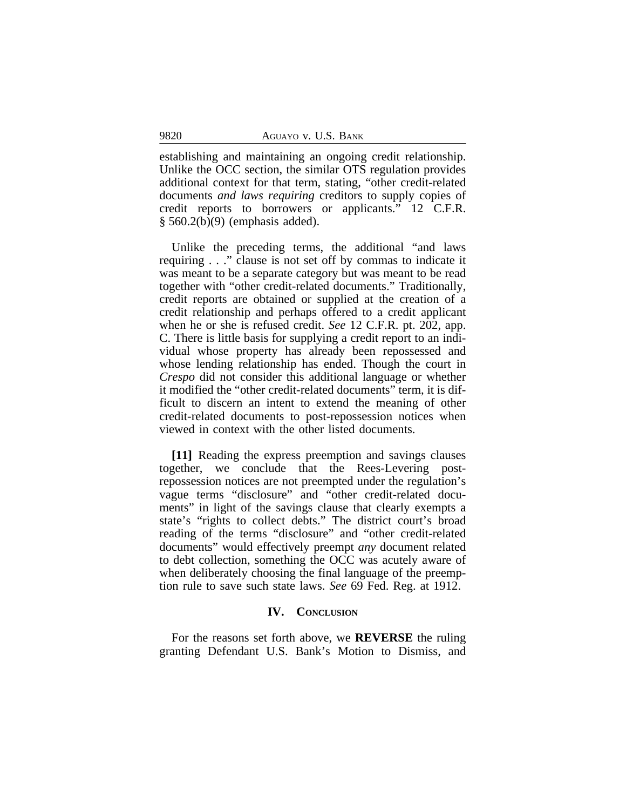establishing and maintaining an ongoing credit relationship. Unlike the OCC section, the similar OTS regulation provides additional context for that term, stating, "other credit-related documents *and laws requiring* creditors to supply copies of credit reports to borrowers or applicants." 12 C.F.R. § 560.2(b)(9) (emphasis added).

Unlike the preceding terms, the additional "and laws requiring . . ." clause is not set off by commas to indicate it was meant to be a separate category but was meant to be read together with "other credit-related documents." Traditionally, credit reports are obtained or supplied at the creation of a credit relationship and perhaps offered to a credit applicant when he or she is refused credit. *See* 12 C.F.R. pt. 202, app. C. There is little basis for supplying a credit report to an individual whose property has already been repossessed and whose lending relationship has ended. Though the court in *Crespo* did not consider this additional language or whether it modified the "other credit-related documents" term, it is difficult to discern an intent to extend the meaning of other credit-related documents to post-repossession notices when viewed in context with the other listed documents.

**[11]** Reading the express preemption and savings clauses together, we conclude that the Rees-Levering postrepossession notices are not preempted under the regulation's vague terms "disclosure" and "other credit-related documents" in light of the savings clause that clearly exempts a state's "rights to collect debts." The district court's broad reading of the terms "disclosure" and "other credit-related documents" would effectively preempt *any* document related to debt collection, something the OCC was acutely aware of when deliberately choosing the final language of the preemption rule to save such state laws. *See* 69 Fed. Reg. at 1912.

#### **IV. CONCLUSION**

For the reasons set forth above, we **REVERSE** the ruling granting Defendant U.S. Bank's Motion to Dismiss, and